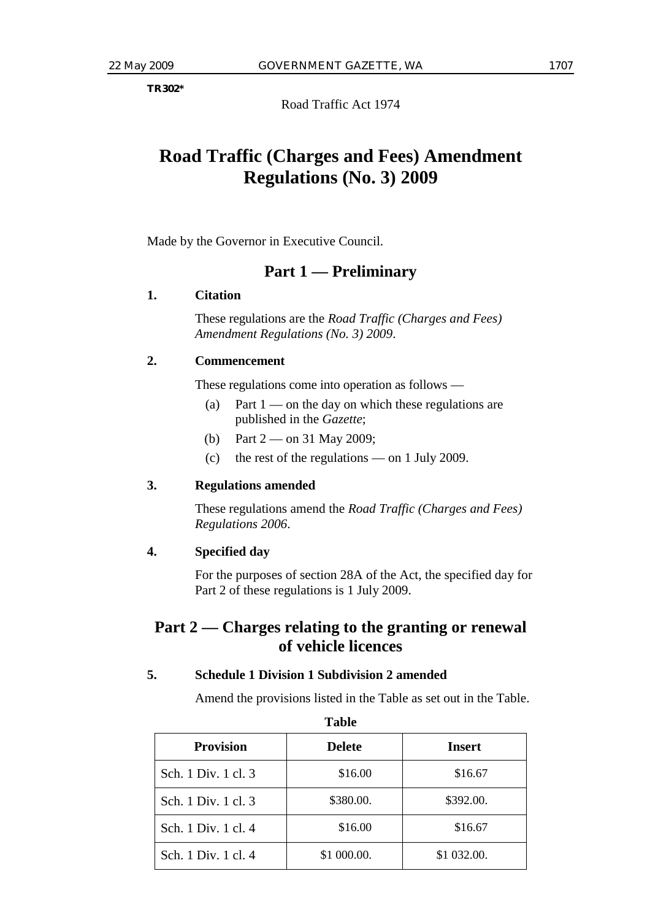**TR302\*** 

Road Traffic Act 1974

# **Road Traffic (Charges and Fees) Amendment Regulations (No. 3) 2009**

Made by the Governor in Executive Council.

## **Part 1 — Preliminary**

#### **1. Citation**

 These regulations are the *Road Traffic (Charges and Fees) Amendment Regulations (No. 3) 2009*.

#### **2. Commencement**

These regulations come into operation as follows —

- (a) Part  $1$  on the day on which these regulations are published in the *Gazette*;
- (b) Part 2 on 31 May 2009;
- (c) the rest of the regulations on 1 July 2009.

#### **3. Regulations amended**

 These regulations amend the *Road Traffic (Charges and Fees) Regulations 2006*.

#### **4. Specified day**

 For the purposes of section 28A of the Act, the specified day for Part 2 of these regulations is 1 July 2009.

# **Part 2 — Charges relating to the granting or renewal of vehicle licences**

#### **5. Schedule 1 Division 1 Subdivision 2 amended**

Amend the provisions listed in the Table as set out in the Table.

| 1 avie              |               |               |  |  |
|---------------------|---------------|---------------|--|--|
| <b>Provision</b>    | <b>Delete</b> | <b>Insert</b> |  |  |
| Sch. 1 Div. 1 cl. 3 | \$16.00       | \$16.67       |  |  |
| Sch. 1 Div. 1 cl. 3 | \$380.00.     | \$392.00.     |  |  |
| Sch. 1 Div. 1 cl. 4 | \$16.00       | \$16.67       |  |  |
| Sch. 1 Div. 1 cl. 4 | \$1 000.00.   | \$1 032.00.   |  |  |

**Table**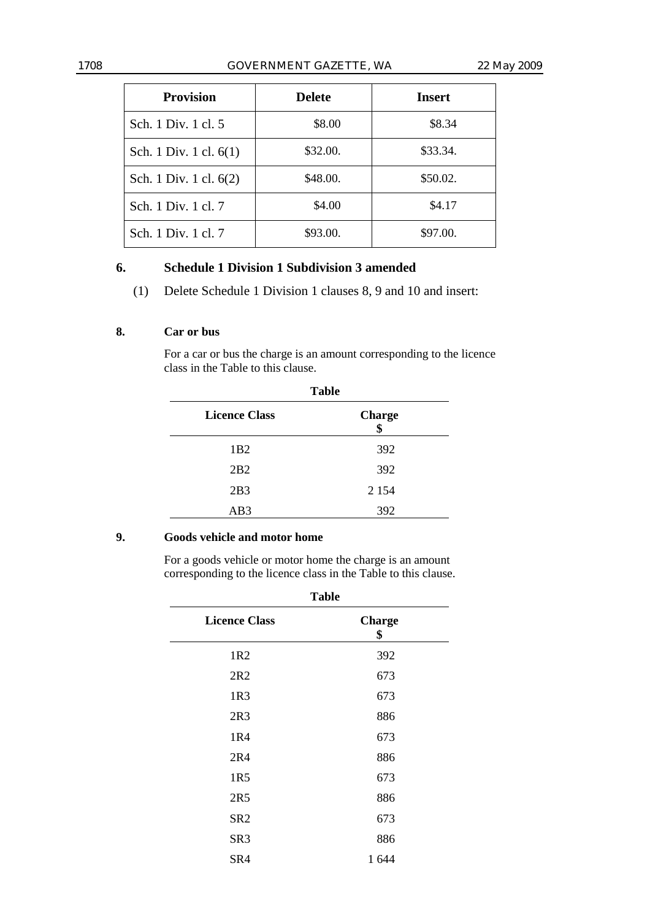#### 1708 GOVERNMENT GAZETTE, WA 22 May 2009

| <b>Provision</b>       | <b>Delete</b> | Insert   |
|------------------------|---------------|----------|
| Sch. 1 Div. 1 cl. 5    | \$8.00        | \$8.34   |
| Sch. 1 Div. 1 cl. 6(1) | \$32.00.      | \$33.34. |
| Sch. 1 Div. 1 cl. 6(2) | \$48.00.      | \$50.02. |
| Sch. 1 Div. 1 cl. 7    | \$4.00        | \$4.17   |
| Sch. 1 Div. 1 cl. 7    | \$93.00.      | \$97.00. |

#### **6. Schedule 1 Division 1 Subdivision 3 amended**

(1) Delete Schedule 1 Division 1 clauses 8, 9 and 10 and insert:

#### **8. Car or bus**

 For a car or bus the charge is an amount corresponding to the licence class in the Table to this clause.

| <b>Table</b>         |                     |  |
|----------------------|---------------------|--|
| <b>Licence Class</b> | <b>Charge</b><br>\$ |  |
| 1B2                  | 392                 |  |
| 2B2                  | 392                 |  |
| 2B3                  | 2 1 5 4             |  |
| AB3                  | 392                 |  |

#### **9. Goods vehicle and motor home**

 For a goods vehicle or motor home the charge is an amount corresponding to the licence class in the Table to this clause.

| <b>Table</b>         |                     |  |
|----------------------|---------------------|--|
| <b>Licence Class</b> | <b>Charge</b><br>\$ |  |
| 1R <sub>2</sub>      | 392                 |  |
| 2R2                  | 673                 |  |
| 1R3                  | 673                 |  |
| 2R3                  | 886                 |  |
| 1R4                  | 673                 |  |
| 2R4                  | 886                 |  |
| 1R5                  | 673                 |  |
| 2R5                  | 886                 |  |
| SR <sub>2</sub>      | 673                 |  |
| SR <sub>3</sub>      | 886                 |  |
| SR4                  | 1644                |  |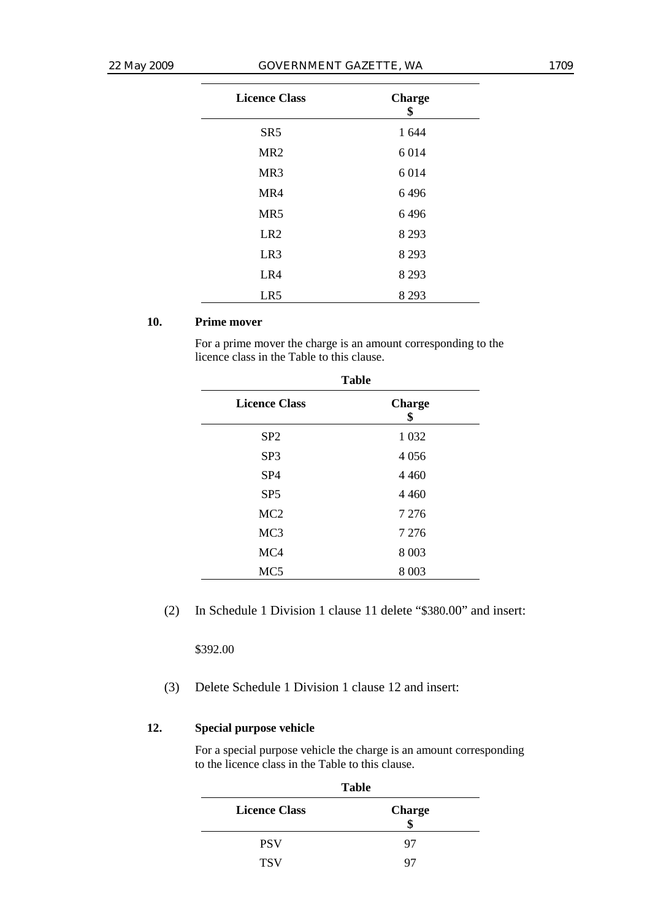| <b>Licence Class</b> | <b>Charge</b><br>\$ |
|----------------------|---------------------|
| SR <sub>5</sub>      | 1 644               |
| MR <sub>2</sub>      | 6014                |
| MR3                  | 6014                |
| MR4                  | 6496                |
| MR5                  | 6496                |
| LR <sub>2</sub>      | 8 2 9 3             |
| LR <sub>3</sub>      | 8 2 9 3             |
| LR4                  | 8 2 9 3             |
| LR5                  | 8 2 9 3             |

#### **10. Prime mover**

 For a prime mover the charge is an amount corresponding to the licence class in the Table to this clause.

| <b>Table</b>         |                     |  |  |
|----------------------|---------------------|--|--|
| <b>Licence Class</b> | <b>Charge</b><br>\$ |  |  |
| SP <sub>2</sub>      | 1 0 3 2             |  |  |
| SP <sub>3</sub>      | 4056                |  |  |
| SP <sub>4</sub>      | 4 4 6 0             |  |  |
| SP <sub>5</sub>      | 4 4 6 0             |  |  |
| MC <sub>2</sub>      | 7 2 7 6             |  |  |
| MC <sub>3</sub>      | 7 2 7 6             |  |  |
| MC4                  | 8 0 0 3             |  |  |
| MC <sub>5</sub>      | 8 0 0 3             |  |  |

(2) In Schedule 1 Division 1 clause 11 delete "\$380.00" and insert:

\$392.00

(3) Delete Schedule 1 Division 1 clause 12 and insert:

#### **12. Special purpose vehicle**

 For a special purpose vehicle the charge is an amount corresponding to the licence class in the Table to this clause.

|                      | <b>Table</b>  |
|----------------------|---------------|
| <b>Licence Class</b> | <b>Charge</b> |
| <b>PSV</b>           | 97            |
| <b>TSV</b>           | O^            |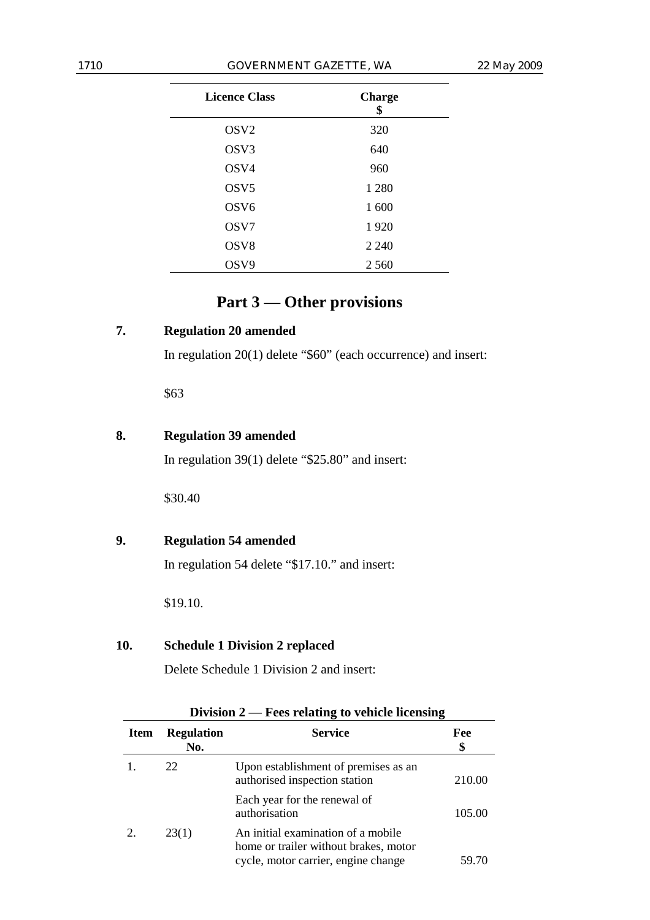| <b>Licence Class</b> | <b>Charge</b><br>\$ |
|----------------------|---------------------|
| OSV <sub>2</sub>     | 320                 |
| OSV3                 | 640                 |
| OSV4                 | 960                 |
| OSV <sub>5</sub>     | 1 2 8 0             |
| OSV <sub>6</sub>     | 1 600               |
| OSV7                 | 1920                |
| OSV <sub>8</sub>     | 2 2 4 0             |
| OSV9                 | 2 5 6 0             |

# **Part 3 — Other provisions**

# **7. Regulation 20 amended**

In regulation 20(1) delete "\$60" (each occurrence) and insert:

\$63

#### **8. Regulation 39 amended**

In regulation 39(1) delete "\$25.80" and insert:

\$30.40

# **9. Regulation 54 amended**

In regulation 54 delete "\$17.10." and insert:

\$19.10.

### **10. Schedule 1 Division 2 replaced**

Delete Schedule 1 Division 2 and insert:

| Item | <b>Regulation</b><br>No. | <b>Service</b>                                                                                                      | Fee<br>\$ |
|------|--------------------------|---------------------------------------------------------------------------------------------------------------------|-----------|
|      | 22.                      | Upon establishment of premises as an<br>authorised inspection station                                               | 210.00    |
|      |                          | Each year for the renewal of<br>authorisation                                                                       | 105.00    |
|      | 23(1)                    | An initial examination of a mobile.<br>home or trailer without brakes, motor<br>cycle, motor carrier, engine change | 59.70     |

#### **Division 2** — **Fees relating to vehicle licensing**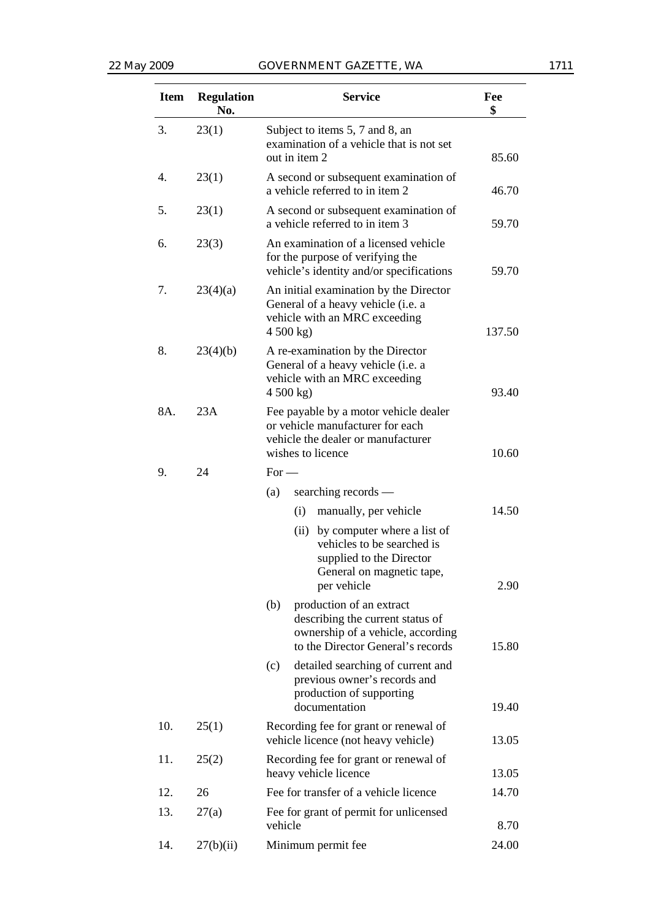| <b>Item</b> | <b>Regulation</b><br>No. | <b>Service</b>                                                                                                                                | Fee<br>\$ |
|-------------|--------------------------|-----------------------------------------------------------------------------------------------------------------------------------------------|-----------|
| 3.          | 23(1)                    | Subject to items 5, 7 and 8, an<br>examination of a vehicle that is not set<br>out in item 2                                                  | 85.60     |
| 4.          | 23(1)                    | A second or subsequent examination of<br>a vehicle referred to in item 2                                                                      | 46.70     |
| 5.          | 23(1)                    | A second or subsequent examination of<br>a vehicle referred to in item 3                                                                      | 59.70     |
| 6.          | 23(3)                    | An examination of a licensed vehicle<br>for the purpose of verifying the<br>vehicle's identity and/or specifications                          | 59.70     |
| 7.          | 23(4)(a)                 | An initial examination by the Director<br>General of a heavy vehicle (i.e. a<br>vehicle with an MRC exceeding<br>4500 kg                      | 137.50    |
| 8.          | 23(4)(b)                 | A re-examination by the Director<br>General of a heavy vehicle (i.e. a<br>vehicle with an MRC exceeding<br>4500 kg                            | 93.40     |
| 8A.         | 23A                      | Fee payable by a motor vehicle dealer<br>or vehicle manufacturer for each<br>vehicle the dealer or manufacturer<br>wishes to licence          | 10.60     |
| 9.          | 24                       | $For -$                                                                                                                                       |           |
|             |                          | searching records —<br>(a)                                                                                                                    |           |
|             |                          | (i)<br>manually, per vehicle                                                                                                                  | 14.50     |
|             |                          | (ii) by computer where a list of<br>vehicles to be searched is<br>supplied to the Director<br>General on magnetic tape,<br>per vehicle        | 2.90      |
|             |                          | production of an extract<br>(b)<br>describing the current status of<br>ownership of a vehicle, according<br>to the Director General's records | 15.80     |
|             |                          | (c)<br>detailed searching of current and<br>previous owner's records and<br>production of supporting<br>documentation                         | 19.40     |
| 10.         | 25(1)                    | Recording fee for grant or renewal of<br>vehicle licence (not heavy vehicle)                                                                  | 13.05     |
| 11.         | 25(2)                    | Recording fee for grant or renewal of<br>heavy vehicle licence                                                                                | 13.05     |
| 12.         | 26                       | Fee for transfer of a vehicle licence                                                                                                         | 14.70     |
| 13.         | 27(a)                    | Fee for grant of permit for unlicensed<br>vehicle                                                                                             | 8.70      |
| 14.         | 27(b)(ii)                | Minimum permit fee                                                                                                                            | 24.00     |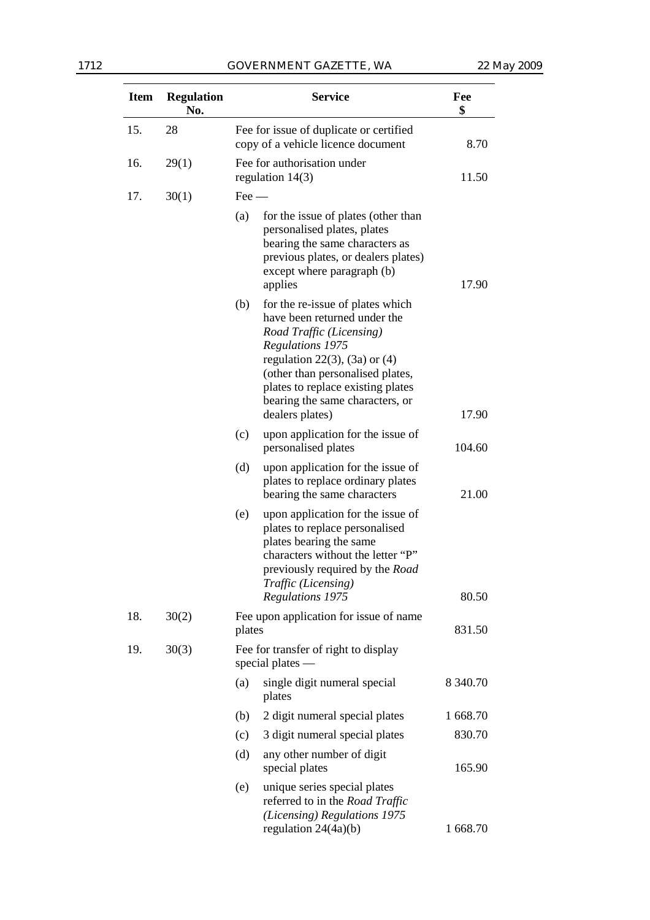| <b>Item</b> | <b>Regulation</b><br>No. | <b>Service</b>                                                                |                                                                                                                                                                                                                                                                                           | Fee<br>\$     |
|-------------|--------------------------|-------------------------------------------------------------------------------|-------------------------------------------------------------------------------------------------------------------------------------------------------------------------------------------------------------------------------------------------------------------------------------------|---------------|
| 15.         | 28                       | Fee for issue of duplicate or certified<br>copy of a vehicle licence document |                                                                                                                                                                                                                                                                                           | 8.70          |
| 16.         | 29(1)                    |                                                                               | Fee for authorisation under<br>regulation $14(3)$                                                                                                                                                                                                                                         | 11.50         |
| 17.         | 30(1)                    | $\text{Fee}$ $-$                                                              |                                                                                                                                                                                                                                                                                           |               |
|             |                          | (a)                                                                           | for the issue of plates (other than<br>personalised plates, plates<br>bearing the same characters as<br>previous plates, or dealers plates)<br>except where paragraph (b)<br>applies                                                                                                      | 17.90         |
|             |                          | (b)                                                                           | for the re-issue of plates which<br>have been returned under the<br>Road Traffic (Licensing)<br><b>Regulations 1975</b><br>regulation 22(3), (3a) or $(4)$<br>(other than personalised plates,<br>plates to replace existing plates<br>bearing the same characters, or<br>dealers plates) | 17.90         |
|             |                          | (c)                                                                           | upon application for the issue of<br>personalised plates                                                                                                                                                                                                                                  | 104.60        |
|             |                          | (d)                                                                           | upon application for the issue of<br>plates to replace ordinary plates<br>bearing the same characters                                                                                                                                                                                     | 21.00         |
|             |                          | (e)                                                                           | upon application for the issue of<br>plates to replace personalised<br>plates bearing the same<br>characters without the letter "P"<br>previously required by the Road<br>Traffic (Licensing)<br>Regulations 1975                                                                         | 80.50         |
| 18.         | 30(2)                    | Fee upon application for issue of name<br>plates                              |                                                                                                                                                                                                                                                                                           | 831.50        |
| 19.         | 30(3)                    |                                                                               | Fee for transfer of right to display<br>special plates -                                                                                                                                                                                                                                  |               |
|             |                          | (a)                                                                           | single digit numeral special<br>plates                                                                                                                                                                                                                                                    | 8 3 4 0 . 7 0 |
|             |                          | (b)                                                                           | 2 digit numeral special plates                                                                                                                                                                                                                                                            | 1 668.70      |
|             |                          | (c)                                                                           | 3 digit numeral special plates                                                                                                                                                                                                                                                            | 830.70        |
|             |                          | (d)                                                                           | any other number of digit<br>special plates                                                                                                                                                                                                                                               | 165.90        |
|             |                          | (e)                                                                           | unique series special plates<br>referred to in the Road Traffic<br>(Licensing) Regulations 1975<br>regulation $24(4a)(b)$                                                                                                                                                                 | 1 668.70      |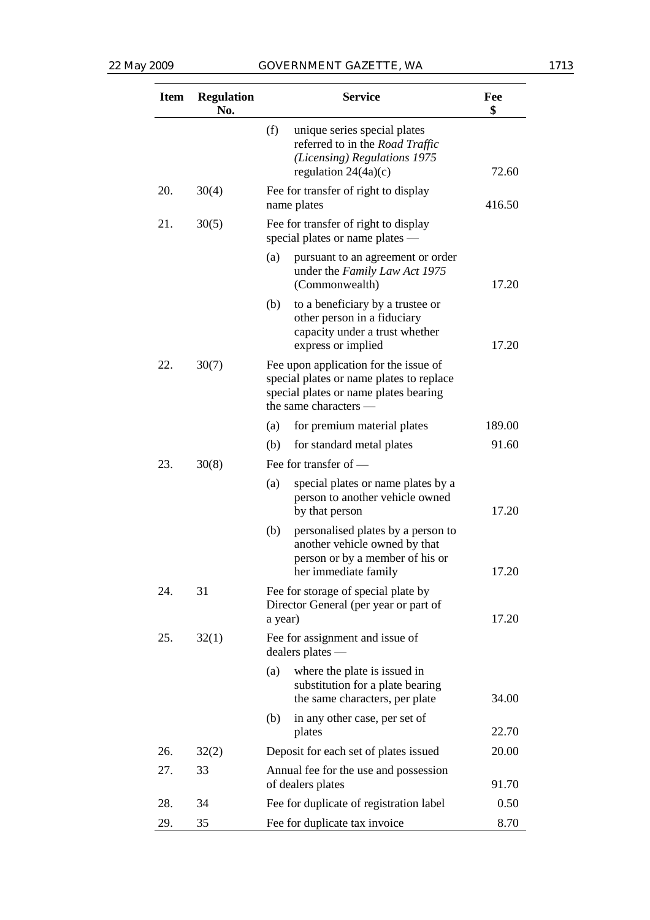#### 22 May 2009 GOVERNMENT GAZETTE, WA 1713

| <b>Item</b> | <b>Regulation</b><br>No. |         | <b>Service</b>                                                                                                                                      | Fee<br>\$ |
|-------------|--------------------------|---------|-----------------------------------------------------------------------------------------------------------------------------------------------------|-----------|
|             |                          | (f)     | unique series special plates<br>referred to in the Road Traffic<br>(Licensing) Regulations 1975<br>regulation $24(4a)(c)$                           | 72.60     |
| 20.         | 30(4)                    |         | Fee for transfer of right to display<br>name plates                                                                                                 | 416.50    |
| 21.         | 30(5)                    |         | Fee for transfer of right to display<br>special plates or name plates —                                                                             |           |
|             |                          | (a)     | pursuant to an agreement or order<br>under the Family Law Act 1975<br>(Commonwealth)                                                                | 17.20     |
|             |                          | (b)     | to a beneficiary by a trustee or<br>other person in a fiduciary<br>capacity under a trust whether<br>express or implied                             | 17.20     |
| 22.         | 30(7)                    |         | Fee upon application for the issue of<br>special plates or name plates to replace<br>special plates or name plates bearing<br>the same characters – |           |
|             |                          | (a)     | for premium material plates                                                                                                                         | 189.00    |
|             |                          | (b)     | for standard metal plates                                                                                                                           | 91.60     |
| 23.         | 30(8)                    |         | Fee for transfer of —                                                                                                                               |           |
|             |                          | (a)     | special plates or name plates by a<br>person to another vehicle owned<br>by that person                                                             | 17.20     |
|             |                          | (b)     | personalised plates by a person to<br>another vehicle owned by that<br>person or by a member of his or<br>her immediate family                      | 17.20     |
| 24.         | 31                       | a year) | Fee for storage of special plate by<br>Director General (per year or part of                                                                        | 17.20     |
| 25.         | 32(1)                    |         | Fee for assignment and issue of<br>dealers plates —                                                                                                 |           |
|             |                          | (a)     | where the plate is issued in<br>substitution for a plate bearing<br>the same characters, per plate                                                  | 34.00     |
|             |                          | (b)     | in any other case, per set of<br>plates                                                                                                             | 22.70     |
| 26.         | 32(2)                    |         | Deposit for each set of plates issued                                                                                                               | 20.00     |
| 27.         | 33                       |         | Annual fee for the use and possession<br>of dealers plates                                                                                          | 91.70     |
| 28.         | 34                       |         | Fee for duplicate of registration label                                                                                                             | 0.50      |
| 29.         | 35                       |         | Fee for duplicate tax invoice                                                                                                                       | 8.70      |